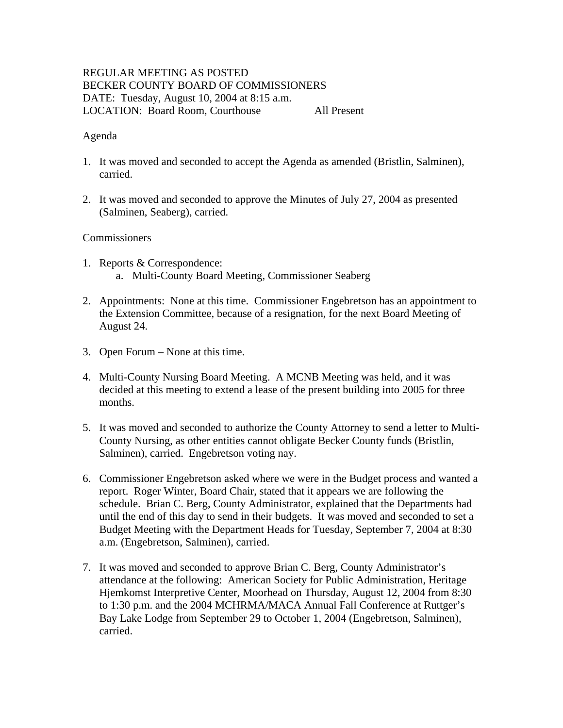# REGULAR MEETING AS POSTED BECKER COUNTY BOARD OF COMMISSIONERS DATE: Tuesday, August 10, 2004 at 8:15 a.m. LOCATION: Board Room, Courthouse All Present

## Agenda

- 1. It was moved and seconded to accept the Agenda as amended (Bristlin, Salminen), carried.
- 2. It was moved and seconded to approve the Minutes of July 27, 2004 as presented (Salminen, Seaberg), carried.

## **Commissioners**

- 1. Reports & Correspondence: a. Multi-County Board Meeting, Commissioner Seaberg
- 2. Appointments: None at this time. Commissioner Engebretson has an appointment to the Extension Committee, because of a resignation, for the next Board Meeting of August 24.
- 3. Open Forum None at this time.
- 4. Multi-County Nursing Board Meeting. A MCNB Meeting was held, and it was decided at this meeting to extend a lease of the present building into 2005 for three months.
- 5. It was moved and seconded to authorize the County Attorney to send a letter to Multi-County Nursing, as other entities cannot obligate Becker County funds (Bristlin, Salminen), carried. Engebretson voting nay.
- 6. Commissioner Engebretson asked where we were in the Budget process and wanted a report. Roger Winter, Board Chair, stated that it appears we are following the schedule. Brian C. Berg, County Administrator, explained that the Departments had until the end of this day to send in their budgets. It was moved and seconded to set a Budget Meeting with the Department Heads for Tuesday, September 7, 2004 at 8:30 a.m. (Engebretson, Salminen), carried.
- 7. It was moved and seconded to approve Brian C. Berg, County Administrator's attendance at the following: American Society for Public Administration, Heritage Hjemkomst Interpretive Center, Moorhead on Thursday, August 12, 2004 from 8:30 to 1:30 p.m. and the 2004 MCHRMA/MACA Annual Fall Conference at Ruttger's Bay Lake Lodge from September 29 to October 1, 2004 (Engebretson, Salminen), carried.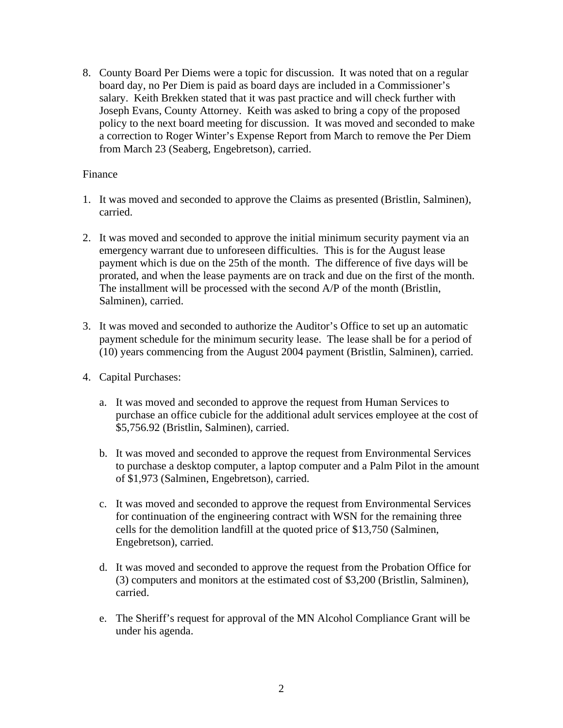8. County Board Per Diems were a topic for discussion. It was noted that on a regular board day, no Per Diem is paid as board days are included in a Commissioner's salary. Keith Brekken stated that it was past practice and will check further with Joseph Evans, County Attorney. Keith was asked to bring a copy of the proposed policy to the next board meeting for discussion. It was moved and seconded to make a correction to Roger Winter's Expense Report from March to remove the Per Diem from March 23 (Seaberg, Engebretson), carried.

## Finance

- 1. It was moved and seconded to approve the Claims as presented (Bristlin, Salminen), carried.
- 2. It was moved and seconded to approve the initial minimum security payment via an emergency warrant due to unforeseen difficulties. This is for the August lease payment which is due on the 25th of the month. The difference of five days will be prorated, and when the lease payments are on track and due on the first of the month. The installment will be processed with the second A/P of the month (Bristlin, Salminen), carried.
- 3. It was moved and seconded to authorize the Auditor's Office to set up an automatic payment schedule for the minimum security lease. The lease shall be for a period of (10) years commencing from the August 2004 payment (Bristlin, Salminen), carried.
- 4. Capital Purchases:
	- a. It was moved and seconded to approve the request from Human Services to purchase an office cubicle for the additional adult services employee at the cost of \$5,756.92 (Bristlin, Salminen), carried.
	- b. It was moved and seconded to approve the request from Environmental Services to purchase a desktop computer, a laptop computer and a Palm Pilot in the amount of \$1,973 (Salminen, Engebretson), carried.
	- c. It was moved and seconded to approve the request from Environmental Services for continuation of the engineering contract with WSN for the remaining three cells for the demolition landfill at the quoted price of \$13,750 (Salminen, Engebretson), carried.
	- d. It was moved and seconded to approve the request from the Probation Office for (3) computers and monitors at the estimated cost of \$3,200 (Bristlin, Salminen), carried.
	- e. The Sheriff's request for approval of the MN Alcohol Compliance Grant will be under his agenda.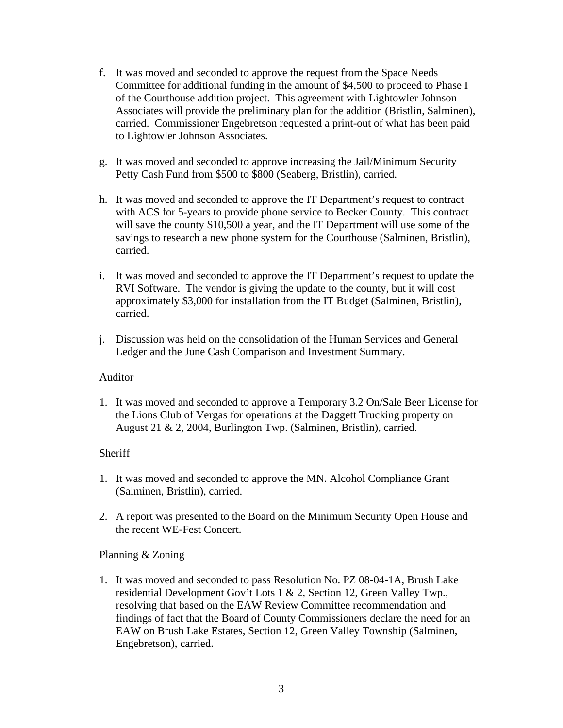- f. It was moved and seconded to approve the request from the Space Needs Committee for additional funding in the amount of \$4,500 to proceed to Phase I of the Courthouse addition project. This agreement with Lightowler Johnson Associates will provide the preliminary plan for the addition (Bristlin, Salminen), carried. Commissioner Engebretson requested a print-out of what has been paid to Lightowler Johnson Associates.
- g. It was moved and seconded to approve increasing the Jail/Minimum Security Petty Cash Fund from \$500 to \$800 (Seaberg, Bristlin), carried.
- h. It was moved and seconded to approve the IT Department's request to contract with ACS for 5-years to provide phone service to Becker County. This contract will save the county \$10,500 a year, and the IT Department will use some of the savings to research a new phone system for the Courthouse (Salminen, Bristlin), carried.
- i. It was moved and seconded to approve the IT Department's request to update the RVI Software. The vendor is giving the update to the county, but it will cost approximately \$3,000 for installation from the IT Budget (Salminen, Bristlin), carried.
- j. Discussion was held on the consolidation of the Human Services and General Ledger and the June Cash Comparison and Investment Summary.

# Auditor

1. It was moved and seconded to approve a Temporary 3.2 On/Sale Beer License for the Lions Club of Vergas for operations at the Daggett Trucking property on August 21 & 2, 2004, Burlington Twp. (Salminen, Bristlin), carried.

# **Sheriff**

- 1. It was moved and seconded to approve the MN. Alcohol Compliance Grant (Salminen, Bristlin), carried.
- 2. A report was presented to the Board on the Minimum Security Open House and the recent WE-Fest Concert.

# Planning & Zoning

1. It was moved and seconded to pass Resolution No. PZ 08-04-1A, Brush Lake residential Development Gov't Lots 1 & 2, Section 12, Green Valley Twp., resolving that based on the EAW Review Committee recommendation and findings of fact that the Board of County Commissioners declare the need for an EAW on Brush Lake Estates, Section 12, Green Valley Township (Salminen, Engebretson), carried.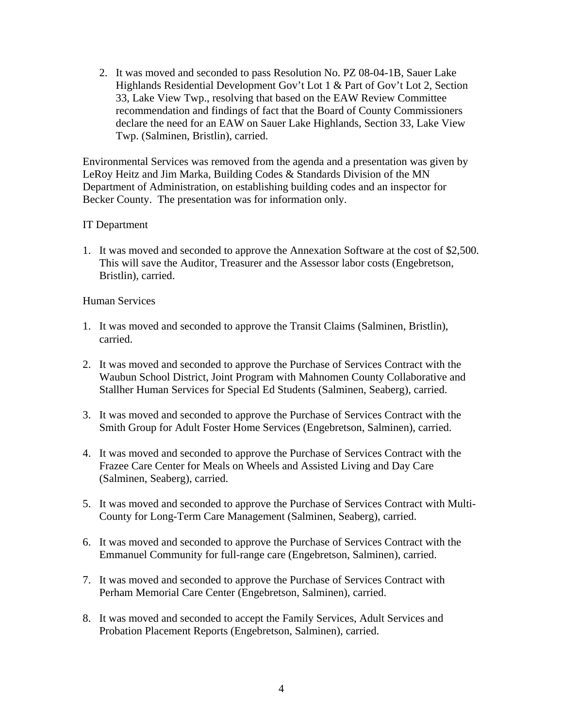2. It was moved and seconded to pass Resolution No. PZ 08-04-1B, Sauer Lake Highlands Residential Development Gov't Lot 1 & Part of Gov't Lot 2, Section 33, Lake View Twp., resolving that based on the EAW Review Committee recommendation and findings of fact that the Board of County Commissioners declare the need for an EAW on Sauer Lake Highlands, Section 33, Lake View Twp. (Salminen, Bristlin), carried.

Environmental Services was removed from the agenda and a presentation was given by LeRoy Heitz and Jim Marka, Building Codes & Standards Division of the MN Department of Administration, on establishing building codes and an inspector for Becker County. The presentation was for information only.

## IT Department

1. It was moved and seconded to approve the Annexation Software at the cost of \$2,500. This will save the Auditor, Treasurer and the Assessor labor costs (Engebretson, Bristlin), carried.

#### Human Services

- 1. It was moved and seconded to approve the Transit Claims (Salminen, Bristlin), carried.
- 2. It was moved and seconded to approve the Purchase of Services Contract with the Waubun School District, Joint Program with Mahnomen County Collaborative and Stallher Human Services for Special Ed Students (Salminen, Seaberg), carried.
- 3. It was moved and seconded to approve the Purchase of Services Contract with the Smith Group for Adult Foster Home Services (Engebretson, Salminen), carried.
- 4. It was moved and seconded to approve the Purchase of Services Contract with the Frazee Care Center for Meals on Wheels and Assisted Living and Day Care (Salminen, Seaberg), carried.
- 5. It was moved and seconded to approve the Purchase of Services Contract with Multi-County for Long-Term Care Management (Salminen, Seaberg), carried.
- 6. It was moved and seconded to approve the Purchase of Services Contract with the Emmanuel Community for full-range care (Engebretson, Salminen), carried.
- 7. It was moved and seconded to approve the Purchase of Services Contract with Perham Memorial Care Center (Engebretson, Salminen), carried.
- 8. It was moved and seconded to accept the Family Services, Adult Services and Probation Placement Reports (Engebretson, Salminen), carried.